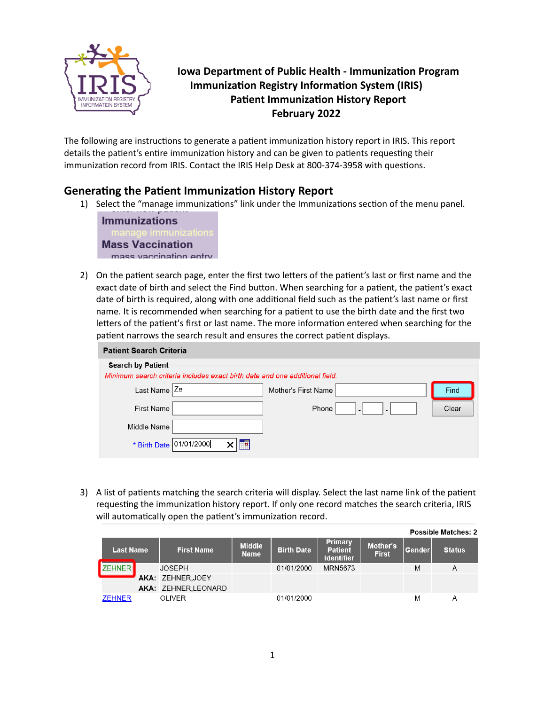

## **Iowa Department of Public Health - Immunization Program Immunization Registry Information System (IRIS) Patient Immunization History Report February 2022**

The following are instructions to generate a patient immunization history report in IRIS. This report details the patient's entire immunization history and can be given to patients requesting their immunization record from IRIS. Contact the IRIS Help Desk at 800-374-3958 with questions.

## **Generating the Patient Immunization History Report**

1) Select the "manage immunizations" link under the Immunizations section of the menu panel.



2) On the patient search page, enter the first two letters of the patient's last or first name and the exact date of birth and select the Find button. When searching for a patient, the patient's exact date of birth is required, along with one additional field such as the patient's last name or first name. It is recommended when searching for a patient to use the birth date and the first two letters of the patient's first or last name. The more information entered when searching for the patient narrows the search result and ensures the correct patient displays.

| <b>Patient Search Criteria</b> |                                                                             |                     |                                                      |       |  |  |  |  |  |
|--------------------------------|-----------------------------------------------------------------------------|---------------------|------------------------------------------------------|-------|--|--|--|--|--|
| <b>Search by Patient</b>       |                                                                             |                     |                                                      |       |  |  |  |  |  |
|                                | Minimum search criteria includes exact birth date and one additional field. |                     |                                                      |       |  |  |  |  |  |
| Last Name                      | Ze                                                                          | Mother's First Name |                                                      | Find  |  |  |  |  |  |
| <b>First Name</b>              |                                                                             | Phone               | $\overline{\phantom{0}}$<br>$\overline{\phantom{0}}$ | Clear |  |  |  |  |  |
| Middle Name                    |                                                                             |                     |                                                      |       |  |  |  |  |  |
| * Birth Date                   | 01/01/2000                                                                  |                     |                                                      |       |  |  |  |  |  |

3) A list of patients matching the search criteria will display. Select the last name link of the patient requesting the immunization history report. If only one record matches the search criteria, IRIS will automatically open the patient's immunization record.

|                                       |  |                              |                   |                                                       |                          |               |               | <b>Possible Matches: 2</b> |
|---------------------------------------|--|------------------------------|-------------------|-------------------------------------------------------|--------------------------|---------------|---------------|----------------------------|
| <b>First Name</b><br><b>Last Name</b> |  | <b>Middle</b><br><b>Name</b> | <b>Birth Date</b> | <b>Primary</b><br><b>Patient</b><br><b>Identifier</b> | Mother's<br><b>First</b> | <b>Gender</b> | <b>Status</b> |                            |
| <b>ZEHNER</b>                         |  | <b>JOSEPH</b>                |                   | 01/01/2000                                            | MRN5673                  |               | M             | A                          |
|                                       |  | AKA: ZEHNER.JOEY             |                   |                                                       |                          |               |               |                            |
|                                       |  | AKA: ZEHNER.LEONARD          |                   |                                                       |                          |               |               |                            |
| <b>ZEHNER</b>                         |  | <b>OLIVER</b>                |                   | 01/01/2000                                            |                          |               | M             | А                          |